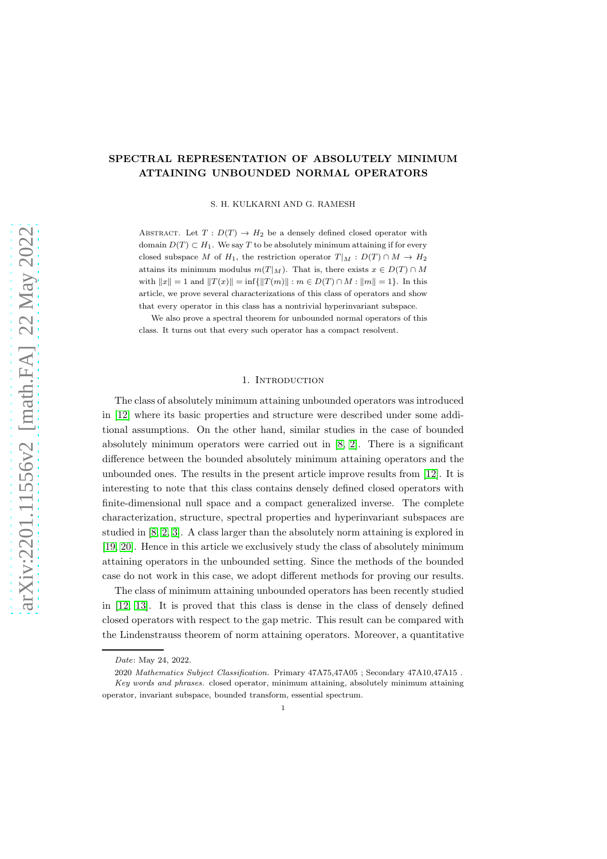# SPECTRAL REPRESENTATION OF ABSOLUTELY MINIMUM ATTAINING UNBOUNDED NORMAL OPERATORS

S. H. KULKARNI AND G. RAMESH

ABSTRACT. Let  $T: D(T) \rightarrow H_2$  be a densely defined closed operator with domain  $D(T) \subset H_1$ . We say T to be absolutely minimum attaining if for every closed subspace M of H<sub>1</sub>, the restriction operator  $T|_M : D(T) \cap M \to H_2$ attains its minimum modulus  $m(T|_M)$ . That is, there exists  $x \in D(T) \cap M$ with  $||x|| = 1$  and  $||T(x)|| = \inf{||T(m)|| : m \in D(T) \cap M : ||m|| = 1}$ . In this article, we prove several characterizations of this class of operators and show that every operator in this class has a nontrivial hyperinvariant subspace.

We also prove a spectral theorem for unbounded normal operators of this class. It turns out that every such operator has a compact resolvent.

### 1. INTRODUCTION

The class of absolutely minimum attaining unbounded operators was introduced in [\[12\]](#page-15-0) where its basic properties and structure were described under some additional assumptions. On the other hand, similar studies in the case of bounded absolutely minimum operators were carried out in [\[8,](#page-15-1) [2\]](#page-15-2). There is a significant difference between the bounded absolutely minimum attaining operators and the unbounded ones. The results in the present article improve results from [\[12\]](#page-15-0). It is interesting to note that this class contains densely defined closed operators with finite-dimensional null space and a compact generalized inverse. The complete characterization, structure, spectral properties and hyperinvariant subspaces are studied in [\[8,](#page-15-1) [2,](#page-15-2) [3\]](#page-15-3). A class larger than the absolutely norm attaining is explored in [\[19,](#page-16-0) [20\]](#page-16-1). Hence in this article we exclusively study the class of absolutely minimum attaining operators in the unbounded setting. Since the methods of the bounded case do not work in this case, we adopt different methods for proving our results.

The class of minimum attaining unbounded operators has been recently studied in [\[12,](#page-15-0) [13\]](#page-15-4). It is proved that this class is dense in the class of densely defined closed operators with respect to the gap metric. This result can be compared with the Lindenstrauss theorem of norm attaining operators. Moreover, a quantitative

*Date*: May 24, 2022.

<sup>2020</sup> *Mathematics Subject Classification.* Primary 47A75,47A05 ; Secondary 47A10,47A15 .

*Key words and phrases.* closed operator, minimum attaining, absolutely minimum attaining operator, invariant subspace, bounded transform, essential spectrum.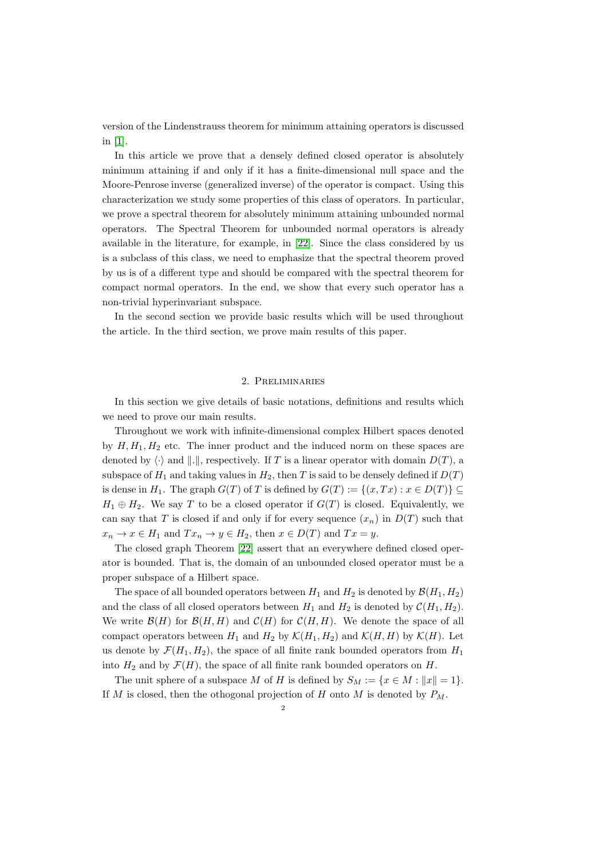version of the Lindenstrauss theorem for minimum attaining operators is discussed in [\[1\]](#page-15-5).

In this article we prove that a densely defined closed operator is absolutely minimum attaining if and only if it has a finite-dimensional null space and the Moore-Penrose inverse (generalized inverse) of the operator is compact. Using this characterization we study some properties of this class of operators. In particular, we prove a spectral theorem for absolutely minimum attaining unbounded normal operators. The Spectral Theorem for unbounded normal operators is already available in the literature, for example, in [\[22\]](#page-16-2). Since the class considered by us is a subclass of this class, we need to emphasize that the spectral theorem proved by us is of a different type and should be compared with the spectral theorem for compact normal operators. In the end, we show that every such operator has a non-trivial hyperinvariant subspace.

In the second section we provide basic results which will be used throughout the article. In the third section, we prove main results of this paper.

## 2. Preliminaries

In this section we give details of basic notations, definitions and results which we need to prove our main results.

Throughout we work with infinite-dimensional complex Hilbert spaces denoted by  $H, H_1, H_2$  etc. The inner product and the induced norm on these spaces are denoted by  $\langle \cdot \rangle$  and  $\|.\|$ , respectively. If T is a linear operator with domain  $D(T)$ , a subspace of  $H_1$  and taking values in  $H_2$ , then T is said to be densely defined if  $D(T)$ is dense in  $H_1$ . The graph  $G(T)$  of T is defined by  $G(T) := \{(x, Tx) : x \in D(T) \} \subseteq$  $H_1 \oplus H_2$ . We say T to be a closed operator if  $G(T)$  is closed. Equivalently, we can say that T is closed if and only if for every sequence  $(x_n)$  in  $D(T)$  such that  $x_n \to x \in H_1$  and  $Tx_n \to y \in H_2$ , then  $x \in D(T)$  and  $Tx = y$ .

The closed graph Theorem [\[22\]](#page-16-2) assert that an everywhere defined closed operator is bounded. That is, the domain of an unbounded closed operator must be a proper subspace of a Hilbert space.

The space of all bounded operators between  $H_1$  and  $H_2$  is denoted by  $\mathcal{B}(H_1, H_2)$ and the class of all closed operators between  $H_1$  and  $H_2$  is denoted by  $\mathcal{C}(H_1, H_2)$ . We write  $\mathcal{B}(H)$  for  $\mathcal{B}(H, H)$  and  $\mathcal{C}(H)$  for  $\mathcal{C}(H, H)$ . We denote the space of all compact operators between  $H_1$  and  $H_2$  by  $\mathcal{K}(H_1, H_2)$  and  $\mathcal{K}(H, H)$  by  $\mathcal{K}(H)$ . Let us denote by  $\mathcal{F}(H_1, H_2)$ , the space of all finite rank bounded operators from  $H_1$ into  $H_2$  and by  $\mathcal{F}(H)$ , the space of all finite rank bounded operators on H.

The unit sphere of a subspace M of H is defined by  $S_M := \{x \in M : ||x|| = 1\}.$ If M is closed, then the othogonal projection of H onto M is denoted by  $P_M$ .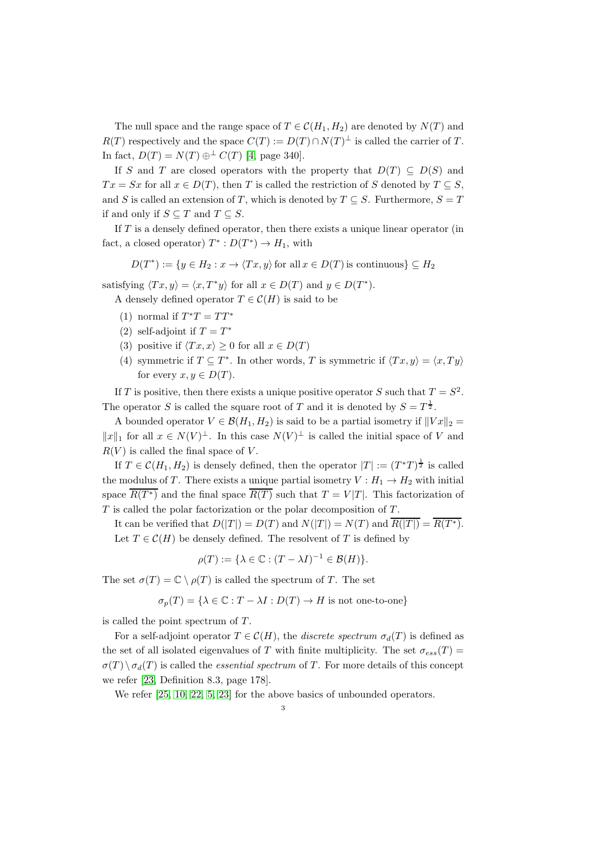The null space and the range space of  $T \in \mathcal{C}(H_1, H_2)$  are denoted by  $N(T)$  and  $R(T)$  respectively and the space  $C(T) := D(T) \cap N(T)^{\perp}$  is called the carrier of T. In fact,  $D(T) = N(T) \oplus^{\perp} C(T)$  [\[4,](#page-15-6) page 340].

If S and T are closed operators with the property that  $D(T) \subseteq D(S)$  and  $Tx = Sx$  for all  $x \in D(T)$ , then T is called the restriction of S denoted by  $T \subseteq S$ , and S is called an extension of T, which is denoted by  $T \subseteq S$ . Furthermore,  $S = T$ if and only if  $S \subseteq T$  and  $T \subseteq S$ .

If  $T$  is a densely defined operator, then there exists a unique linear operator (in fact, a closed operator)  $T^* : D(T^*) \to H_1$ , with

 $D(T^*) := \{ y \in H_2 : x \to \langle Tx, y \rangle \text{ for all } x \in D(T) \text{ is continuous} \} \subseteq H_2$ 

satisfying  $\langle Tx, y \rangle = \langle x, T^*y \rangle$  for all  $x \in D(T)$  and  $y \in D(T^*)$ .

A densely defined operator  $T \in \mathcal{C}(H)$  is said to be

- (1) normal if  $T^*T = TT^*$
- (2) self-adjoint if  $T = T^*$
- (3) positive if  $\langle Tx, x \rangle \geq 0$  for all  $x \in D(T)$
- (4) symmetric if  $T \subseteq T^*$ . In other words, T is symmetric if  $\langle Tx, y \rangle = \langle x, Ty \rangle$ for every  $x, y \in D(T)$ .

If T is positive, then there exists a unique positive operator S such that  $T = S^2$ . The operator S is called the square root of T and it is denoted by  $S = T^{\frac{1}{2}}$ .

A bounded operator  $V \in \mathcal{B}(H_1, H_2)$  is said to be a partial isometry if  $||Vx||_2 =$  $||x||_1$  for all  $x \in N(V)^{\perp}$ . In this case  $N(V)^{\perp}$  is called the initial space of V and  $R(V)$  is called the final space of V.

If  $T \in \mathcal{C}(H_1, H_2)$  is densely defined, then the operator  $|T| := (T^*T)^{\frac{1}{2}}$  is called the modulus of T. There exists a unique partial isometry  $V : H_1 \to H_2$  with initial space  $\overline{R(T^*)}$  and the final space  $\overline{R(T)}$  such that  $T = V|T|$ . This factorization of  $T$  is called the polar factorization or the polar decomposition of  $T$ .

It can be verified that  $D(|T|) = D(T)$  and  $N(|T|) = N(T)$  and  $\overline{R(|T|)} = \overline{R(T^*)}$ . Let  $T \in \mathcal{C}(H)$  be densely defined. The resolvent of T is defined by

$$
\rho(T) := \{ \lambda \in \mathbb{C} : (T - \lambda I)^{-1} \in \mathcal{B}(H) \}.
$$

The set  $\sigma(T) = \mathbb{C} \setminus \rho(T)$  is called the spectrum of T. The set

 $\sigma_p(T) = {\lambda \in \mathbb{C} : T - \lambda I : D(T) \to H \text{ is not one-to-one}}$ 

is called the point spectrum of  $T$ .

For a self-adjoint operator  $T \in \mathcal{C}(H)$ , the *discrete spectrum*  $\sigma_d(T)$  is defined as the set of all isolated eigenvalues of T with finite multiplicity. The set  $\sigma_{ess}(T)$  =  $\sigma(T) \setminus \sigma_d(T)$  is called the *essential spectrum* of T. For more details of this concept we refer [\[23,](#page-16-3) Definition 8.3, page 178].

We refer  $[25, 10, 22, 5, 23]$  $[25, 10, 22, 5, 23]$  $[25, 10, 22, 5, 23]$  $[25, 10, 22, 5, 23]$  $[25, 10, 22, 5, 23]$  for the above basics of unbounded operators.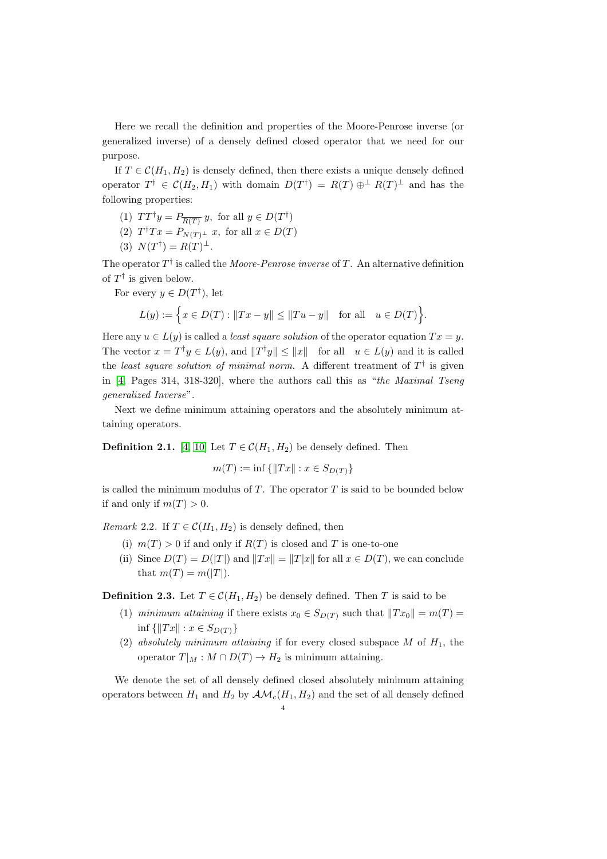Here we recall the definition and properties of the Moore-Penrose inverse (or generalized inverse) of a densely defined closed operator that we need for our purpose.

If  $T \in \mathcal{C}(H_1, H_2)$  is densely defined, then there exists a unique densely defined operator  $T^{\dagger} \in \mathcal{C}(H_2, H_1)$  with domain  $D(T^{\dagger}) = R(T) \oplus^{\perp} R(T)^{\perp}$  and has the following properties:

- (1)  $TT^{\dagger}y = P_{\overline{R(T)}}y$ , for all  $y \in D(T^{\dagger})$
- (2)  $T^{\dagger}Tx = P_{N(T)^{\perp}}x$ , for all  $x \in D(T)$
- (3)  $N(T^{\dagger}) = R(T)^{\perp}$ .

The operator  $T^{\dagger}$  is called the *Moore-Penrose inverse* of T. An alternative definition of  $T^{\dagger}$  is given below.

For every  $y \in D(T^{\dagger})$ , let

$$
L(y) := \left\{ x \in D(T) : \|Tx - y\| \le \|Tu - y\| \text{ for all } u \in D(T) \right\}.
$$

Here any  $u \in L(y)$  is called a *least square solution* of the operator equation  $Tx = y$ . The vector  $x = T^{\dagger}y \in L(y)$ , and  $||T^{\dagger}y|| \le ||x||$  for all  $u \in L(y)$  and it is called the least square solution of minimal norm. A different treatment of  $T^{\dagger}$  is given in [\[4,](#page-15-6) Pages 314, 318-320], where the authors call this as "the Maximal Tseng generalized Inverse".

Next we define minimum attaining operators and the absolutely minimum attaining operators.

**Definition 2.1.** [\[4,](#page-15-6) [10\]](#page-15-7) Let  $T \in \mathcal{C}(H_1, H_2)$  be densely defined. Then

$$
m(T) := \inf \{ ||Tx|| : x \in S_{D(T)} \}
$$

is called the minimum modulus of  $T$ . The operator  $T$  is said to be bounded below if and only if  $m(T) > 0$ .

*Remark* 2.2. If  $T \in \mathcal{C}(H_1, H_2)$  is densely defined, then

- (i)  $m(T) > 0$  if and only if  $R(T)$  is closed and T is one-to-one
- (ii) Since  $D(T) = D(|T|)$  and  $||Tx|| = ||T|x||$  for all  $x \in D(T)$ , we can conclude that  $m(T) = m(|T|)$ .

**Definition 2.3.** Let  $T \in \mathcal{C}(H_1, H_2)$  be densely defined. Then T is said to be

- (1) minimum attaining if there exists  $x_0 \in S_{D(T)}$  such that  $||Tx_0|| = m(T) =$ inf  $\{||Tx|| : x \in S_{D(T)}\}$
- (2) absolutely minimum attaining if for every closed subspace M of  $H_1$ , the operator  $T|_M : M \cap D(T) \to H_2$  is minimum attaining.

We denote the set of all densely defined closed absolutely minimum attaining operators between  $H_1$  and  $H_2$  by  $\mathcal{AM}_c(H_1, H_2)$  and the set of all densely defined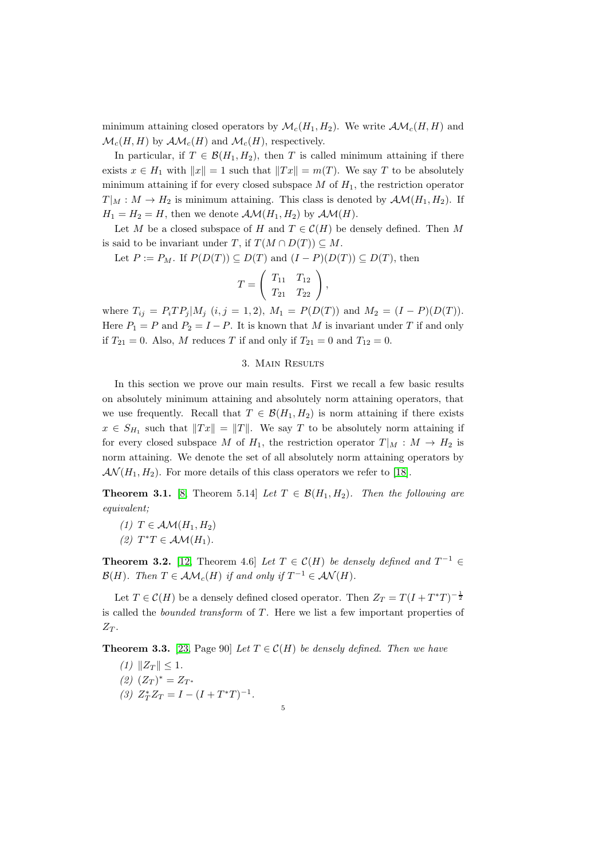minimum attaining closed operators by  $\mathcal{M}_c(H_1, H_2)$ . We write  $\mathcal{AM}_c(H, H)$  and  $\mathcal{M}_c(H, H)$  by  $\mathcal{AM}_c(H)$  and  $\mathcal{M}_c(H)$ , respectively.

In particular, if  $T \in \mathcal{B}(H_1, H_2)$ , then T is called minimum attaining if there exists  $x \in H_1$  with  $||x|| = 1$  such that  $||Tx|| = m(T)$ . We say T to be absolutely minimum attaining if for every closed subspace  $M$  of  $H_1$ , the restriction operator  $T|_M : M \to H_2$  is minimum attaining. This class is denoted by  $\mathcal{AM}(H_1, H_2)$ . If  $H_1 = H_2 = H$ , then we denote  $\mathcal{AM}(H_1, H_2)$  by  $\mathcal{AM}(H)$ .

Let M be a closed subspace of H and  $T \in \mathcal{C}(H)$  be densely defined. Then M is said to be invariant under T, if  $T(M \cap D(T)) \subseteq M$ .

Let  $P := P_M$ . If  $P(D(T)) \subseteq D(T)$  and  $(I - P)(D(T)) \subseteq D(T)$ , then

$$
T = \left(\begin{array}{cc} T_{11} & T_{12} \\ T_{21} & T_{22} \end{array}\right),
$$

where  $T_{ij} = P_i T P_j | M_j$   $(i, j = 1, 2), M_1 = P(D(T))$  and  $M_2 = (I - P)(D(T))$ . Here  $P_1 = P$  and  $P_2 = I - P$ . It is known that M is invariant under T if and only if  $T_{21} = 0$ . Also, M reduces T if and only if  $T_{21} = 0$  and  $T_{12} = 0$ .

## 3. Main Results

In this section we prove our main results. First we recall a few basic results on absolutely minimum attaining and absolutely norm attaining operators, that we use frequently. Recall that  $T \in \mathcal{B}(H_1, H_2)$  is norm attaining if there exists  $x \in S_{H_1}$  such that  $||Tx|| = ||T||$ . We say T to be absolutely norm attaining if for every closed subspace M of  $H_1$ , the restriction operator  $T|_M : M \to H_2$  is norm attaining. We denote the set of all absolutely norm attaining operators by  $\mathcal{AN}(H_1, H_2)$ . For more details of this class operators we refer to [\[18\]](#page-16-5).

**Theorem 3.1.** [\[8,](#page-15-1) Theorem 5.14] Let  $T \in \mathcal{B}(H_1, H_2)$ . Then the following are equivalent;

- (1)  $T \in \mathcal{AM}(H_1, H_2)$
- (2)  $T^*T \in \mathcal{AM}(H_1)$ .

<span id="page-4-0"></span>**Theorem 3.2.** [\[12,](#page-15-0) Theorem 4.6] Let  $T \in \mathcal{C}(H)$  be densely defined and  $T^{-1} \in$  $\mathcal{B}(H)$ . Then  $T \in \mathcal{AM}_c(H)$  if and only if  $T^{-1} \in \mathcal{AN}(H)$ .

Let  $T \in \mathcal{C}(H)$  be a densely defined closed operator. Then  $Z_T = T(I + T^*T)^{-\frac{1}{2}}$ is called the *bounded transform* of  $T$ . Here we list a few important properties of  $Z_T$ .

**Theorem 3.3.** [\[23,](#page-16-3) Page 90] Let  $T \in \mathcal{C}(H)$  be densely defined. Then we have

5

(1) 
$$
||Z_T|| \le 1
$$
.  
\n(2)  $(Z_T)^* = Z_{T^*}$   
\n(3)  $Z_T^* Z_T = I - (I + T^*T)^{-1}$ .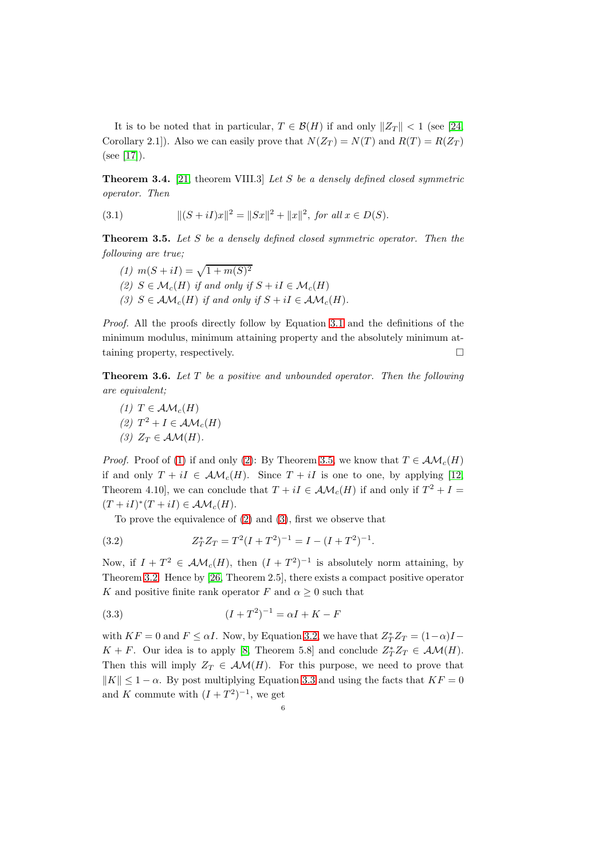It is to be noted that in particular,  $T \in \mathcal{B}(H)$  if and only  $||Z_T|| < 1$  (see [\[24,](#page-16-6) Corollary 2.1]). Also we can easily prove that  $N(Z_T) = N(T)$  and  $R(T) = R(Z_T)$ (see [\[17\]](#page-16-7)).

**Theorem 3.4.** [\[21,](#page-16-8) theorem VIII.3] Let S be a densely defined closed symmetric operator. Then

<span id="page-5-0"></span>(3.1) 
$$
\|(S+iI)x\|^2 = \|Sx\|^2 + \|x\|^2, \text{ for all } x \in D(S).
$$

<span id="page-5-3"></span>**Theorem 3.5.** Let S be a densely defined closed symmetric operator. Then the following are true;

- (1)  $m(S + iI) = \sqrt{1 + m(S)^2}$
- (2)  $S \in \mathcal{M}_c(H)$  if and only if  $S + iI \in \mathcal{M}_c(H)$
- (3)  $S \in \mathcal{AM}_c(H)$  if and only if  $S + iI \in \mathcal{AM}_c(H)$ .

Proof. All the proofs directly follow by Equation [3.1](#page-5-0) and the definitions of the minimum modulus, minimum attaining property and the absolutely minimum attaining property, respectively.

<span id="page-5-7"></span><span id="page-5-1"></span>**Theorem 3.6.** Let  $T$  be a positive and unbounded operator. Then the following are equivalent;

<span id="page-5-4"></span><span id="page-5-2"></span>(1)  $T \in \mathcal{AM}_c(H)$ (2)  $T^2 + I \in \mathcal{AM}_c(H)$ (3)  $Z_T \in \mathcal{AM}(H)$ .

*Proof.* Proof of [\(1\)](#page-5-1) if and only [\(2\)](#page-5-2): By Theorem [3.5,](#page-5-3) we know that  $T \in \mathcal{AM}_c(H)$ if and only  $T + iI \in \mathcal{AM}_c(H)$ . Since  $T + iI$  is one to one, by applying [\[12,](#page-15-0) Theorem 4.10], we can conclude that  $T + iI \in \mathcal{AM}_c(H)$  if and only if  $T^2 + I =$  $(T + iI)^*(T + iI) \in \mathcal{AM}_c(H).$ 

<span id="page-5-5"></span>To prove the equivalence of [\(2\)](#page-5-2) and [\(3\)](#page-5-4), first we observe that

(3.2) 
$$
Z_T^* Z_T = T^2 (I + T^2)^{-1} = I - (I + T^2)^{-1}.
$$

Now, if  $I + T^2 \in \mathcal{AM}_c(H)$ , then  $(I + T^2)^{-1}$  is absolutely norm attaining, by Theorem [3.2.](#page-4-0) Hence by [\[26,](#page-16-9) Theorem 2.5], there exists a compact positive operator K and positive finite rank operator F and  $\alpha \geq 0$  such that

<span id="page-5-6"></span>(3.3) 
$$
(I + T^2)^{-1} = \alpha I + K - F
$$

with  $KF = 0$  and  $F \leq \alpha I$ . Now, by Equation [3.2,](#page-5-5) we have that  $Z_T^* Z_T = (1 - \alpha)I$ K + F. Our idea is to apply [\[8,](#page-15-1) Theorem 5.8] and conclude  $Z_T^*Z_T \in \mathcal{AM}(H)$ . Then this will imply  $Z_T \in \mathcal{AM}(H)$ . For this purpose, we need to prove that  $\|K\| \leq 1 - \alpha$ . By post multiplying Equation [3.3](#page-5-6) and using the facts that  $KF = 0$ and K commute with  $(I+T^2)^{-1}$ , we get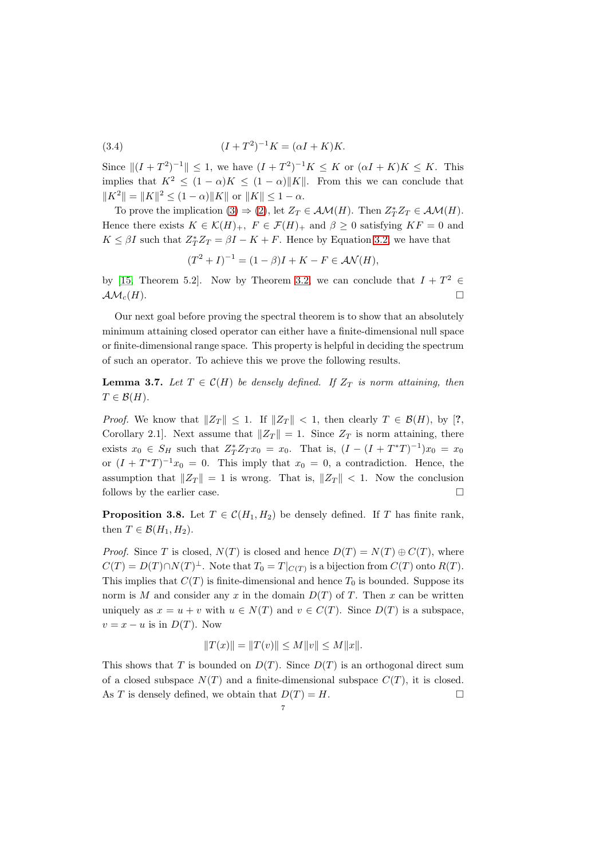(3.4) 
$$
(I + T^2)^{-1} K = (\alpha I + K) K.
$$

Since  $||(I + T^2)^{-1}|| \le 1$ , we have  $(I + T^2)^{-1}K \le K$  or  $(\alpha I + K)K \le K$ . This implies that  $K^2 \leq (1-\alpha)K \leq (1-\alpha)\|K\|$ . From this we can conclude that  $||K^2|| = ||K||^2 \le (1 - \alpha) ||K||$  or  $||K|| \le 1 - \alpha$ .

To prove the implication  $(3) \Rightarrow (2)$  $(3) \Rightarrow (2)$ , let  $Z_T \in \mathcal{AM}(H)$ . Then  $Z_T^* Z_T \in \mathcal{AM}(H)$ . Hence there exists  $K \in \mathcal{K}(H)_+$ ,  $F \in \mathcal{F}(H)_+$  and  $\beta \geq 0$  satisfying  $KF = 0$  and  $K \leq \beta I$  such that  $Z_T^* Z_T = \beta I - K + F$ . Hence by Equation [3.2,](#page-5-5) we have that

$$
(T^{2} + I)^{-1} = (1 - \beta)I + K - F \in \mathcal{AN}(H),
$$

by [\[15,](#page-15-9) Theorem 5.2]. Now by Theorem [3.2,](#page-4-0) we can conclude that  $I + T^2 \in$  $\mathcal{AM}_c(H)$ .

Our next goal before proving the spectral theorem is to show that an absolutely minimum attaining closed operator can either have a finite-dimensional null space or finite-dimensional range space. This property is helpful in deciding the spectrum of such an operator. To achieve this we prove the following results.

<span id="page-6-0"></span>**Lemma 3.7.** Let  $T \in \mathcal{C}(H)$  be densely defined. If  $Z_T$  is norm attaining, then  $T \in \mathcal{B}(H)$ .

*Proof.* We know that  $||Z_T|| \leq 1$ . If  $||Z_T|| < 1$ , then clearly  $T \in \mathcal{B}(H)$ , by [?, Corollary 2.1]. Next assume that  $||Z_T|| = 1$ . Since  $Z_T$  is norm attaining, there exists  $x_0 \in S_H$  such that  $Z_T^* Z_T x_0 = x_0$ . That is,  $(I - (I + T^*T)^{-1})x_0 = x_0$ or  $(I + T^*T)^{-1}x_0 = 0$ . This imply that  $x_0 = 0$ , a contradiction. Hence, the assumption that  $||Z_T|| = 1$  is wrong. That is,  $||Z_T|| < 1$ . Now the conclusion follows by the earlier case.

**Proposition 3.8.** Let  $T \in \mathcal{C}(H_1, H_2)$  be densely defined. If T has finite rank, then  $T \in \mathcal{B}(H_1, H_2)$ .

*Proof.* Since T is closed,  $N(T)$  is closed and hence  $D(T) = N(T) \oplus C(T)$ , where  $C(T) = D(T) \cap N(T)^{\perp}$ . Note that  $T_0 = T|_{C(T)}$  is a bijection from  $C(T)$  onto  $R(T)$ . This implies that  $C(T)$  is finite-dimensional and hence  $T_0$  is bounded. Suppose its norm is M and consider any x in the domain  $D(T)$  of T. Then x can be written uniquely as  $x = u + v$  with  $u \in N(T)$  and  $v \in C(T)$ . Since  $D(T)$  is a subspace,  $v = x - u$  is in  $D(T)$ . Now

$$
||T(x)|| = ||T(v)|| \le M||v|| \le M||x||.
$$

This shows that T is bounded on  $D(T)$ . Since  $D(T)$  is an orthogonal direct sum of a closed subspace  $N(T)$  and a finite-dimensional subspace  $C(T)$ , it is closed. As T is densely defined, we obtain that  $D(T) = H$ .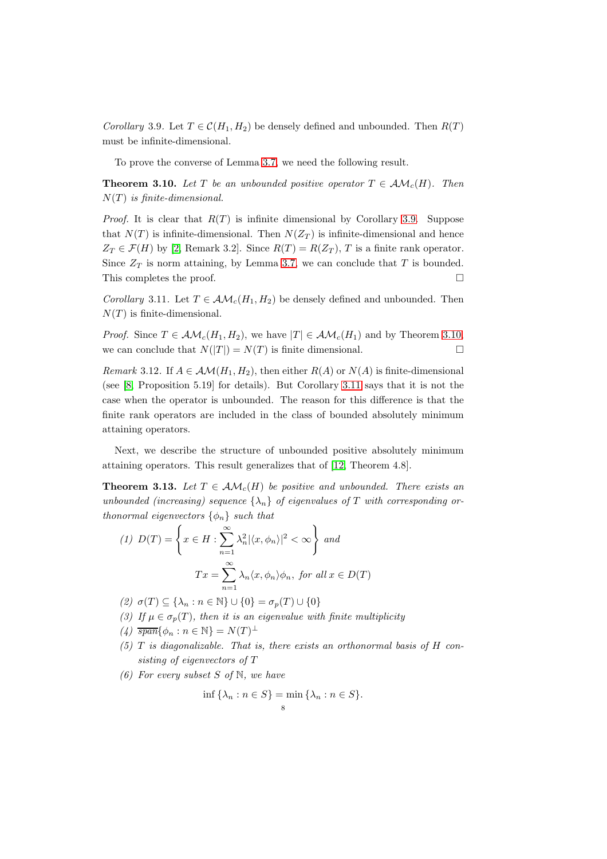<span id="page-7-0"></span>Corollary 3.9. Let  $T \in \mathcal{C}(H_1, H_2)$  be densely defined and unbounded. Then  $R(T)$ must be infinite-dimensional.

To prove the converse of Lemma [3.7,](#page-6-0) we need the following result.

<span id="page-7-1"></span>**Theorem 3.10.** Let T be an unbounded positive operator  $T \in \mathcal{AM}_c(H)$ . Then  $N(T)$  is finite-dimensional.

*Proof.* It is clear that  $R(T)$  is infinite dimensional by Corollary [3.9.](#page-7-0) Suppose that  $N(T)$  is infinite-dimensional. Then  $N(Z_T)$  is infinite-dimensional and hence  $Z_T \in \mathcal{F}(H)$  by [\[2,](#page-15-2) Remark 3.2]. Since  $R(T) = R(Z_T)$ , T is a finite rank operator. Since  $Z_T$  is norm attaining, by Lemma [3.7,](#page-6-0) we can conclude that T is bounded. This completes the proof.  $\Box$ 

<span id="page-7-2"></span>Corollary 3.11. Let  $T \in \mathcal{AM}_c(H_1, H_2)$  be densely defined and unbounded. Then  $N(T)$  is finite-dimensional.

*Proof.* Since  $T \in \mathcal{AM}_c(H_1, H_2)$ , we have  $|T| \in \mathcal{AM}_c(H_1)$  and by Theorem [3.10,](#page-7-1) we can conclude that  $N(|T|) = N(T)$  is finite dimensional.

Remark 3.12. If  $A \in \mathcal{AM}(H_1, H_2)$ , then either  $R(A)$  or  $N(A)$  is finite-dimensional (see [\[8,](#page-15-1) Proposition 5.19] for details). But Corollary [3.11](#page-7-2) says that it is not the case when the operator is unbounded. The reason for this difference is that the finite rank operators are included in the class of bounded absolutely minimum attaining operators.

Next, we describe the structure of unbounded positive absolutely minimum attaining operators. This result generalizes that of [\[12,](#page-15-0) Theorem 4.8].

<span id="page-7-7"></span>**Theorem 3.13.** Let  $T \in \mathcal{AM}_c(H)$  be positive and unbounded. There exists an unbounded (increasing) sequence  $\{\lambda_n\}$  of eigenvalues of T with corresponding orthonormal eigenvectors  $\{\phi_n\}$  such that

<span id="page-7-3"></span>
$$
(1) \ D(T) = \left\{ x \in H : \sum_{n=1}^{\infty} \lambda_n^2 |\langle x, \phi_n \rangle|^2 < \infty \right\} \text{ and}
$$
\n
$$
Tx = \sum_{n=1}^{\infty} \lambda_n \langle x, \phi_n \rangle \phi_n, \text{ for all } x \in D(T)
$$

(2)  $\sigma(T) \subseteq {\lambda_n : n \in \mathbb{N}} \cup {0} = \sigma_p(T) \cup {0}$ 

- <span id="page-7-4"></span>(3) If  $\mu \in \sigma_p(T)$ , then it is an eigenvalue with finite multiplicity
- <span id="page-7-5"></span>(4)  $\overline{span} \{ \phi_n : n \in \mathbb{N} \} = N(T)^{\perp}$
- <span id="page-7-6"></span> $(5)$  T is diagonalizable. That is, there exists an orthonormal basis of H consisting of eigenvectors of T
- (6) For every subset S of  $\mathbb N$ , we have

$$
\inf \{ \lambda_n : n \in S \} = \min \{ \lambda_n : n \in S \}.
$$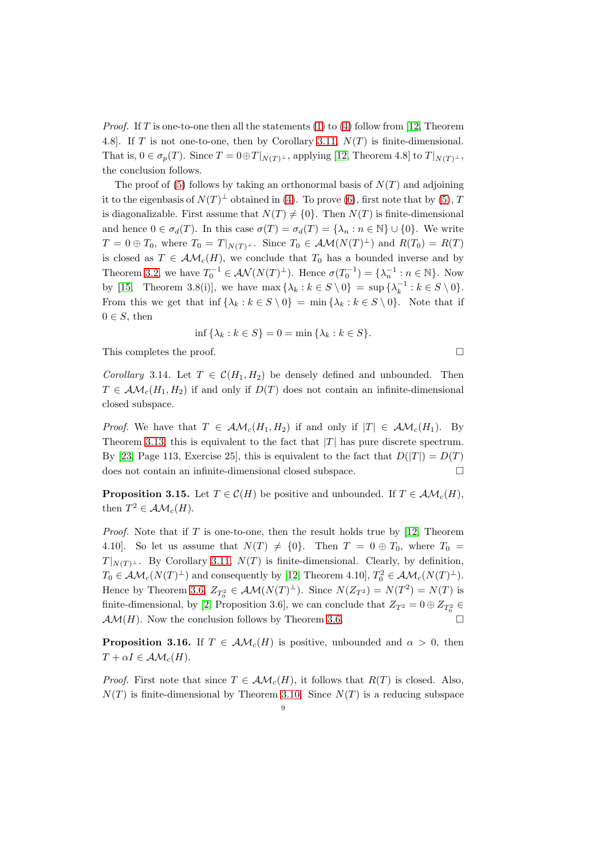*Proof.* If T is one-to-one then all the statements [\(1\)](#page-7-3) to [\(4\)](#page-7-4) follow from [\[12,](#page-15-0) Theorem 4.8]. If T is not one-to-one, then by Corollary [3.11,](#page-7-2)  $N(T)$  is finite-dimensional. That is,  $0 \in \sigma_p(T)$ . Since  $T = 0 \oplus T|_{N(T)^{\perp}}$ , applying [\[12,](#page-15-0) Theorem 4.8] to  $T|_{N(T)^{\perp}}$ , the conclusion follows.

The proof of [\(5\)](#page-7-5) follows by taking an orthonormal basis of  $N(T)$  and adjoining it to the eigenbasis of  $N(T)^{\perp}$  obtained in [\(4\)](#page-7-4). To prove [\(6\)](#page-7-6), first note that by [\(5\)](#page-7-5), T is diagonalizable. First assume that  $N(T) \neq \{0\}$ . Then  $N(T)$  is finite-dimensional and hence  $0 \in \sigma_d(T)$ . In this case  $\sigma(T) = \sigma_d(T) = {\lambda_n : n \in \mathbb{N}} \cup \{0\}$ . We write  $T = 0 \oplus T_0$ , where  $T_0 = T|_{N(T)^{\perp}}$ . Since  $T_0 \in \mathcal{AM}(N(T)^{\perp})$  and  $R(T_0) = R(T)$ is closed as  $T \in \mathcal{AM}_c(H)$ , we conclude that  $T_0$  has a bounded inverse and by Theorem [3.2,](#page-4-0) we have  $T_0^{-1} \in \mathcal{AN}(N(T)^{\perp})$ . Hence  $\sigma(T_0^{-1}) = {\lambda_n^{-1} : n \in \mathbb{N}}$ . Now by [\[15,](#page-15-9) Theorem 3.8(i)], we have  $\max\{\lambda_k : k \in S \setminus 0\} = \sup\{\lambda_k^{-1} : k \in S \setminus 0\}.$ From this we get that inf  $\{\lambda_k : k \in S \setminus 0\} = \min \{\lambda_k : k \in S \setminus 0\}$ . Note that if  $0 \in S$ , then

$$
\inf \{\lambda_k : k \in S\} = 0 = \min \{\lambda_k : k \in S\}.
$$

This completes the proof.

Corollary 3.14. Let  $T \in \mathcal{C}(H_1, H_2)$  be densely defined and unbounded. Then  $T \in \mathcal{AM}_c(H_1, H_2)$  if and only if  $D(T)$  does not contain an infinite-dimensional closed subspace.

*Proof.* We have that  $T \in \mathcal{AM}_c(H_1, H_2)$  if and only if  $|T| \in \mathcal{AM}_c(H_1)$ . By Theorem [3.13,](#page-7-7) this is equivalent to the fact that  $|T|$  has pure discrete spectrum. By [\[23,](#page-16-3) Page 113, Exercise 25], this is equivalent to the fact that  $D(|T|) = D(T)$ does not contain an infinite-dimensional closed subspace.

<span id="page-8-1"></span>**Proposition 3.15.** Let  $T \in \mathcal{C}(H)$  be positive and unbounded. If  $T \in \mathcal{AM}_c(H)$ , then  $T^2 \in \mathcal{AM}_c(H)$ .

*Proof.* Note that if T is one-to-one, then the result holds true by  $[12,$  Theorem 4.10]. So let us assume that  $N(T) \neq \{0\}$ . Then  $T = 0 \oplus T_0$ , where  $T_0 =$  $T|_{N(T)^{\perp}}$ . By Corollary [3.11,](#page-7-2)  $N(T)$  is finite-dimensional. Clearly, by definition,  $T_0 \in \mathcal{AM}_c(N(T)^{\perp})$  and consequently by [\[12,](#page-15-0) Theorem 4.10],  $T_0^2 \in \mathcal{AM}_c(N(T)^{\perp})$ . Hence by Theorem [3.6,](#page-5-7)  $Z_{T_0^2} \in AM(N(T)^{\perp})$ . Since  $N(Z_{T^2}) = N(T^2) = N(T)$  is finite-dimensional, by [\[2,](#page-15-2) Proposition 3.6], we can conclude that  $Z_{T^2} = 0 \oplus Z_{T^2_0} \in$  $\mathcal{AM}(H)$ . Now the conclusion follows by Theorem [3.6.](#page-5-7)

<span id="page-8-0"></span>**Proposition 3.16.** If  $T \in \mathcal{AM}_c(H)$  is positive, unbounded and  $\alpha > 0$ , then  $T + \alpha I \in \mathcal{AM}_c(H)$ .

*Proof.* First note that since  $T \in \mathcal{AM}_c(H)$ , it follows that  $R(T)$  is closed. Also,  $N(T)$  is finite-dimensional by Theorem [3.10.](#page-7-1) Since  $N(T)$  is a reducing subspace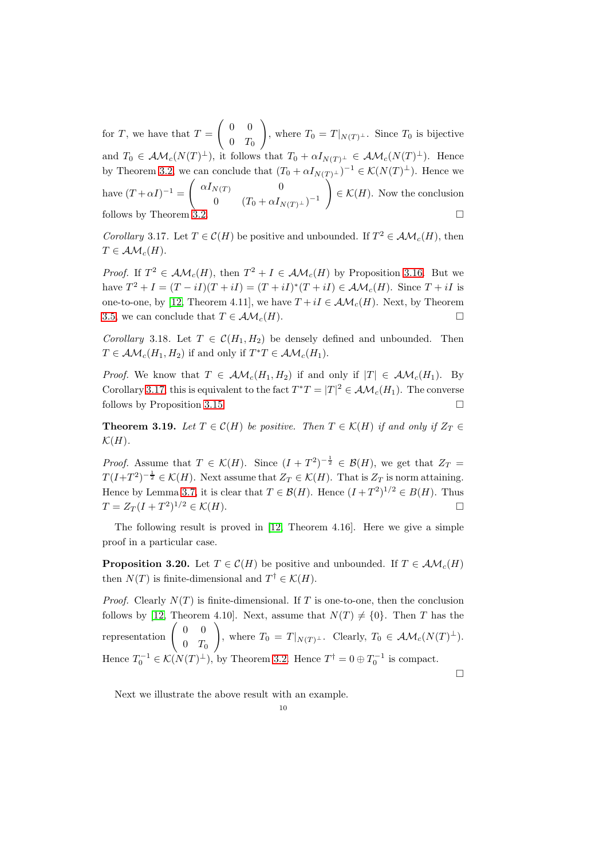for T, we have that  $T =$  $\begin{pmatrix} 0 & 0 \\ 0 & 0 \end{pmatrix}$  $0$   $T_0$  $\setminus$ , where  $T_0 = T|_{N(T)^{\perp}}$ . Since  $T_0$  is bijective and  $T_0 \in \mathcal{AM}_c(N(T)^{\perp}),$  it follows that  $T_0 + \alpha I_{N(T)^{\perp}} \in \mathcal{AM}_c(N(T)^{\perp}).$  Hence by Theorem [3.2,](#page-4-0) we can conclude that  $(T_0 + \alpha I_{N(T)^{\perp}})^{-1} \in \mathcal{K}(N(T)^{\perp})$ . Hence we have  $(T+\alpha I)^{-1} =$  $\int \alpha I_{N(T)}$  0 0  $(T_0 + \alpha I_{N(T)^{\perp}})^{-1}$  $\setminus$  $\in \mathcal{K}(H)$ . Now the conclusion follows by Theorem  $3.2$ .

<span id="page-9-0"></span>Corollary 3.17. Let  $T \in \mathcal{C}(H)$  be positive and unbounded. If  $T^2 \in \mathcal{AM}_c(H)$ , then  $T \in \mathcal{AM}_c(H)$ .

*Proof.* If  $T^2 \in \mathcal{AM}_c(H)$ , then  $T^2 + I \in \mathcal{AM}_c(H)$  by Proposition [3.16.](#page-8-0) But we have  $T^2 + I = (T - iI)(T + iI) = (T + iI)^*(T + iI) \in \mathcal{AM}_c(H)$ . Since  $T + iI$  is one-to-one, by [\[12,](#page-15-0) Theorem 4.11], we have  $T + iI \in \mathcal{AM}_c(H)$ . Next, by Theorem [3.5,](#page-5-3) we can conclude that  $T \in \mathcal{AM}_c(H)$ .

Corollary 3.18. Let  $T \in \mathcal{C}(H_1, H_2)$  be densely defined and unbounded. Then  $T \in \mathcal{AM}_c(H_1, H_2)$  if and only if  $T^*T \in \mathcal{AM}_c(H_1)$ .

*Proof.* We know that  $T \in \mathcal{AM}_c(H_1, H_2)$  if and only if  $|T| \in \mathcal{AM}_c(H_1)$ . By Corollary [3.17,](#page-9-0) this is equivalent to the fact  $T^*T = |T|^2 \in \mathcal{AM}_c(H_1)$ . The converse follows by Proposition [3.15.](#page-8-1)

**Theorem 3.19.** Let  $T \in \mathcal{C}(H)$  be positive. Then  $T \in \mathcal{K}(H)$  if and only if  $Z_T \in$  $\mathcal{K}(H)$ .

*Proof.* Assume that  $T \in \mathcal{K}(H)$ . Since  $(I + T^2)^{-\frac{1}{2}} \in \mathcal{B}(H)$ , we get that  $Z_T =$  $T(I+T^2)^{-\frac{1}{2}} \in \mathcal{K}(H)$ . Next assume that  $Z_T \in \mathcal{K}(H)$ . That is  $Z_T$  is norm attaining. Hence by Lemma [3.7,](#page-6-0) it is clear that  $T \in \mathcal{B}(H)$ . Hence  $(I + T^2)^{1/2} \in B(H)$ . Thus  $T = Z_T (I + T^2)^{1/2} \in \mathcal{K}(H).$ 

The following result is proved in [\[12,](#page-15-0) Theorem 4.16]. Here we give a simple proof in a particular case.

**Proposition 3.20.** Let  $T \in \mathcal{C}(H)$  be positive and unbounded. If  $T \in \mathcal{AM}_c(H)$ then  $N(T)$  is finite-dimensional and  $T^{\dagger} \in \mathcal{K}(H)$ .

*Proof.* Clearly  $N(T)$  is finite-dimensional. If T is one-to-one, then the conclusion follows by [\[12,](#page-15-0) Theorem 4.10]. Next, assume that  $N(T) \neq \{0\}$ . Then T has the representation  $\begin{pmatrix} 0 & 0 \\ 0 & \overline{a} \end{pmatrix}$  $0$   $T_0$  $\setminus$ , where  $T_0 = T|_{N(T)^{\perp}}$ . Clearly,  $T_0 \in \mathcal{AM}_c(N(T)^{\perp})$ . Hence  $T_0^{-1} \in \mathcal{K}(N(T)^{\perp}),$  by Theorem [3.2.](#page-4-0) Hence  $T^{\dagger} = 0 \oplus T_0^{-1}$  is compact.

 $\Box$ 

Next we illustrate the above result with an example.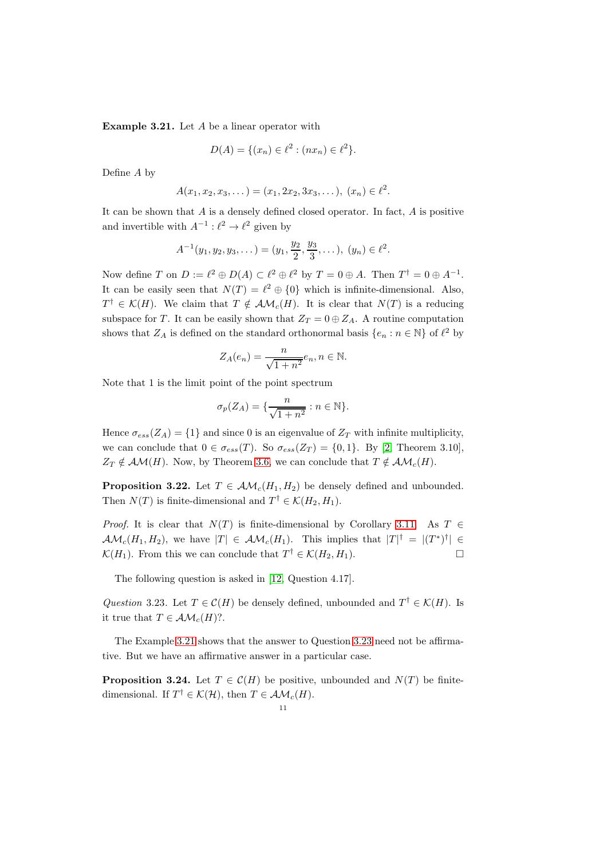<span id="page-10-0"></span>Example 3.21. Let A be a linear operator with

$$
D(A) = \{(x_n) \in \ell^2 : (nx_n) \in \ell^2\}.
$$

Define A by

$$
A(x_1, x_2, x_3, \dots) = (x_1, 2x_2, 3x_3, \dots), \ (x_n) \in \ell^2.
$$

It can be shown that  $A$  is a densely defined closed operator. In fact,  $A$  is positive and invertible with  $A^{-1}$ :  $\ell^2 \to \ell^2$  given by

$$
A^{-1}(y_1, y_2, y_3, \dots) = (y_1, \frac{y_2}{2}, \frac{y_3}{3}, \dots), (y_n) \in \ell^2.
$$

Now define T on  $D := \ell^2 \oplus D(A) \subset \ell^2 \oplus \ell^2$  by  $T = 0 \oplus A$ . Then  $T^{\dagger} = 0 \oplus A^{-1}$ . It can be easily seen that  $N(T) = \ell^2 \oplus \{0\}$  which is infinite-dimensional. Also,  $T^{\dagger} \in \mathcal{K}(H)$ . We claim that  $T \notin \mathcal{AM}_c(H)$ . It is clear that  $N(T)$  is a reducing subspace for T. It can be easily shown that  $Z_T = 0 \oplus Z_A$ . A routine computation shows that  $Z_A$  is defined on the standard orthonormal basis  $\{e_n : n \in \mathbb{N}\}$  of  $\ell^2$  by

$$
Z_A(e_n) = \frac{n}{\sqrt{1+n^2}} e_n, n \in \mathbb{N}.
$$

Note that 1 is the limit point of the point spectrum

$$
\sigma_p(Z_A) = \{ \frac{n}{\sqrt{1+n^2}} : n \in \mathbb{N} \}.
$$

Hence  $\sigma_{ess}(Z_A) = \{1\}$  and since 0 is an eigenvalue of  $Z_T$  with infinite multiplicity, we can conclude that  $0 \in \sigma_{ess}(T)$ . So  $\sigma_{ess}(Z_T) = \{0, 1\}$ . By [\[2,](#page-15-2) Theorem 3.10],  $Z_T \notin \mathcal{AM}(H)$ . Now, by Theorem [3.6,](#page-5-7) we can conclude that  $T \notin \mathcal{AM}_c(H)$ .

<span id="page-10-3"></span>**Proposition 3.22.** Let  $T \in \mathcal{AM}_c(H_1, H_2)$  be densely defined and unbounded. Then  $N(T)$  is finite-dimensional and  $T^{\dagger} \in \mathcal{K}(H_2, H_1)$ .

*Proof.* It is clear that  $N(T)$  is finite-dimensional by Corollary [3.11.](#page-7-2) As T ∈  $\mathcal{AM}_c(H_1, H_2)$ , we have  $|T| \in \mathcal{AM}_c(H_1)$ . This implies that  $|T|^{\dagger} = |(T^*)^{\dagger}| \in$  $\mathcal{K}(H_1)$ . From this we can conclude that  $T^{\dagger} \in \mathcal{K}(H_2, H_1)$ .

The following question is asked in [\[12,](#page-15-0) Question 4.17].

<span id="page-10-1"></span>Question 3.23. Let  $T \in \mathcal{C}(H)$  be densely defined, unbounded and  $T^{\dagger} \in \mathcal{K}(H)$ . Is it true that  $T \in \mathcal{AM}_c(H)$ ?.

The Example [3.21](#page-10-0) shows that the answer to Question [3.23](#page-10-1) need not be affirmative. But we have an affirmative answer in a particular case.

<span id="page-10-2"></span>**Proposition 3.24.** Let  $T \in \mathcal{C}(H)$  be positive, unbounded and  $N(T)$  be finitedimensional. If  $T^{\dagger} \in \mathcal{K}(\mathcal{H})$ , then  $T \in \mathcal{AM}_c(H)$ .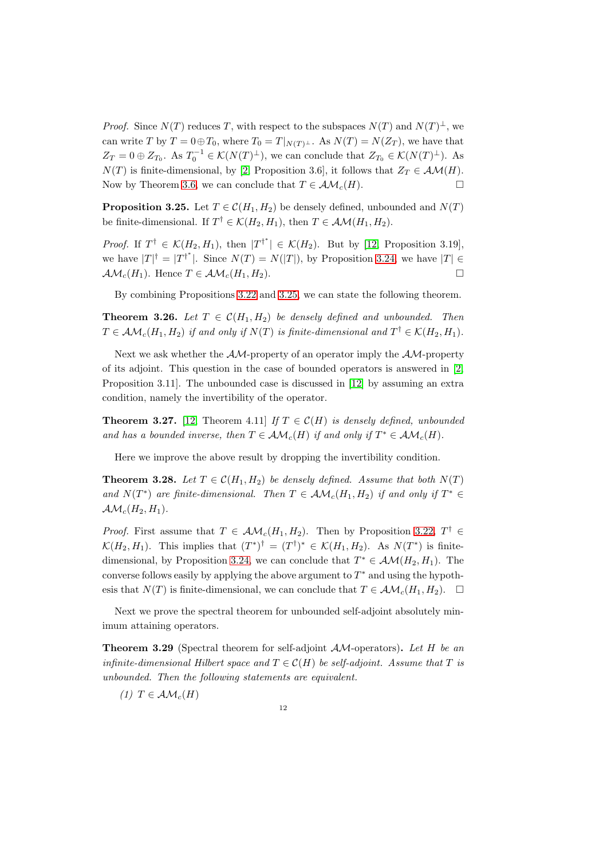*Proof.* Since  $N(T)$  reduces T, with respect to the subspaces  $N(T)$  and  $N(T)^{\perp}$ , we can write T by  $T = 0 \oplus T_0$ , where  $T_0 = T|_{N(T)^{\perp}}$ . As  $N(T) = N(Z_T)$ , we have that  $Z_T = 0 \oplus Z_{T_0}$ . As  $T_0^{-1} \in \mathcal{K}(N(T)^{\perp})$ , we can conclude that  $Z_{T_0} \in \mathcal{K}(N(T)^{\perp})$ . As  $N(T)$  is finite-dimensional, by [\[2,](#page-15-2) Proposition 3.6], it follows that  $Z_T \in \mathcal{AM}(H)$ .<br>Now by Theorem 3.6, we can conclude that  $T \in \mathcal{AM}_c(H)$ . Now by Theorem [3.6,](#page-5-7) we can conclude that  $T \in \mathcal{AM}_c(H)$ .

<span id="page-11-0"></span>**Proposition 3.25.** Let  $T \in \mathcal{C}(H_1, H_2)$  be densely defined, unbounded and  $N(T)$ be finite-dimensional. If  $T^{\dagger} \in \mathcal{K}(H_2, H_1)$ , then  $T \in \mathcal{AM}(H_1, H_2)$ .

*Proof.* If  $T^{\dagger} \in \mathcal{K}(H_2, H_1)$ , then  $|T^{\dagger^*}| \in \mathcal{K}(H_2)$ . But by [\[12,](#page-15-0) Proposition 3.19], we have  $|T|^{\dagger} = |T^{\dagger^*}|$ . Since  $N(T) = N(|T|)$ , by Proposition [3.24,](#page-10-2) we have  $|T| \in$  $\mathcal{AM}_c(H_1)$ . Hence  $T \in \mathcal{AM}_c(H_1, H_2)$ .

By combining Propositions [3.22](#page-10-3) and [3.25,](#page-11-0) we can state the following theorem.

<span id="page-11-3"></span>**Theorem 3.26.** Let  $T \in \mathcal{C}(H_1, H_2)$  be densely defined and unbounded. Then  $T \in \mathcal{AM}_c(H_1, H_2)$  if and only if  $N(T)$  is finite-dimensional and  $T^{\dagger} \in \mathcal{K}(H_2, H_1)$ .

Next we ask whether the  $AM$ -property of an operator imply the  $AM$ -property of its adjoint. This question in the case of bounded operators is answered in [\[2,](#page-15-2) Proposition 3.11]. The unbounded case is discussed in [\[12\]](#page-15-0) by assuming an extra condition, namely the invertibility of the operator.

**Theorem 3.27.** [\[12,](#page-15-0) Theorem 4.11] If  $T \in \mathcal{C}(H)$  is densely defined, unbounded and has a bounded inverse, then  $T \in \mathcal{AM}_c(H)$  if and only if  $T^* \in \mathcal{AM}_c(H)$ .

Here we improve the above result by dropping the invertibility condition.

**Theorem 3.28.** Let  $T \in \mathcal{C}(H_1, H_2)$  be densely defined. Assume that both  $N(T)$ and  $N(T^*)$  are finite-dimensional. Then  $T \in \mathcal{AM}_c(H_1, H_2)$  if and only if  $T^* \in$  $\mathcal{AM}_c(H_2, H_1).$ 

*Proof.* First assume that  $T \in \mathcal{AM}_c(H_1, H_2)$ . Then by Proposition [3.22,](#page-10-3)  $T^{\dagger} \in$  $\mathcal{K}(H_2, H_1)$ . This implies that  $(T^*)^{\dagger} = (T^{\dagger})^* \in \mathcal{K}(H_1, H_2)$ . As  $N(T^*)$  is finite-dimensional, by Proposition [3.24,](#page-10-2) we can conclude that  $T^* \in \mathcal{AM}(H_2, H_1)$ . The converse follows easily by applying the above argument to  $T^*$  and using the hypothesis that  $N(T)$  is finite-dimensional, we can conclude that  $T \in \mathcal{AM}_c(H_1, H_2)$ .

Next we prove the spectral theorem for unbounded self-adjoint absolutely minimum attaining operators.

<span id="page-11-2"></span>**Theorem 3.29** (Spectral theorem for self-adjoint  $AM$ -operators). Let H be an infinite-dimensional Hilbert space and  $T \in \mathcal{C}(H)$  be self-adjoint. Assume that T is unbounded. Then the following statements are equivalent.

<span id="page-11-1"></span>(1)  $T \in \mathcal{AM}_c(H)$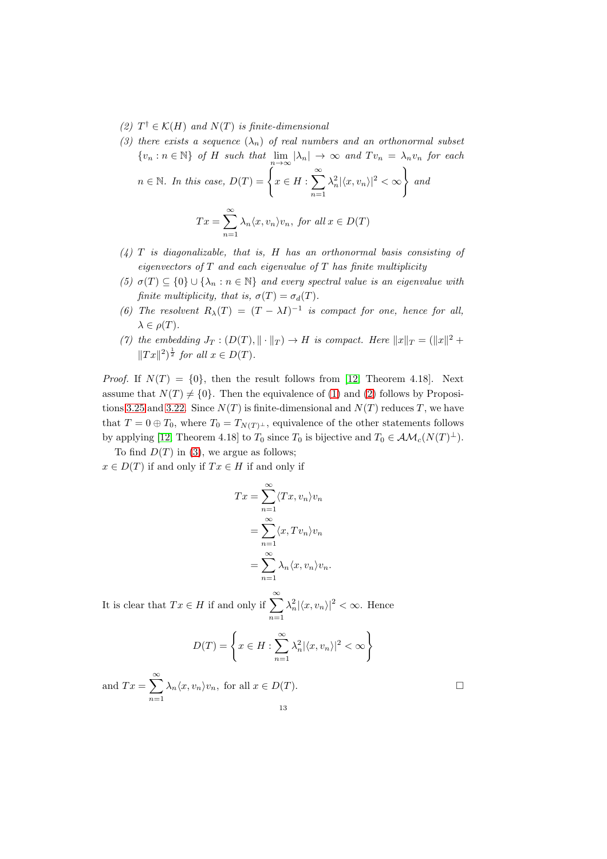- <span id="page-12-1"></span><span id="page-12-0"></span>(2)  $T^{\dagger} \in \mathcal{K}(H)$  and  $N(T)$  is finite-dimensional
- (3) there exists a sequence  $(\lambda_n)$  of real numbers and an orthonormal subset  $\{v_n : n \in \mathbb{N}\}\$  of H such that  $\lim_{n \to \infty} |\lambda_n| \to \infty$  and  $Tv_n = \lambda_n v_n$  for each  $n \in \mathbb{N}$ . In this case,  $D(T) = \left\{x \in H : \sum_{n=1}^{\infty} \frac{1}{n} \right\}$  $n=1$  $\lambda_n^2 |\langle x,v_n\rangle|^2 < \infty$ and  $Tx = \sum_{n=1}^{\infty}$  $\sum_{n=1} \lambda_n \langle x, v_n \rangle v_n$ , for all  $x \in D(T)$
- $(4)$  T is diagonalizable, that is, H has an orthonormal basis consisting of eigenvectors of  $T$  and each eigenvalue of  $T$  has finite multiplicity
- (5)  $\sigma(T) \subseteq \{0\} \cup \{\lambda_n : n \in \mathbb{N}\}\$ and every spectral value is an eigenvalue with finite multiplicity, that is,  $\sigma(T) = \sigma_d(T)$ .
- (6) The resolvent  $R_{\lambda}(T) = (T \lambda I)^{-1}$  is compact for one, hence for all,  $\lambda \in \rho(T)$ .
- (7) the embedding  $J_T : (D(T), \|\cdot\|_T) \to H$  is compact. Here  $\|x\|_T = (\|x\|^2 +$  $||Tx||^2)^{\frac{1}{2}}$  for all  $x \in D(T)$ .

*Proof.* If  $N(T) = \{0\}$ , then the result follows from [\[12,](#page-15-0) Theorem 4.18]. Next assume that  $N(T) \neq \{0\}$ . Then the equivalence of [\(1\)](#page-11-1) and [\(2\)](#page-12-0) follows by Proposi-tions [3.25](#page-11-0) and [3.22.](#page-10-3) Since  $N(T)$  is finite-dimensional and  $N(T)$  reduces T, we have that  $T = 0 \oplus T_0$ , where  $T_0 = T_{N(T)^{\perp}}$ , equivalence of the other statements follows by applying [\[12,](#page-15-0) Theorem 4.18] to  $T_0$  since  $T_0$  is bijective and  $T_0 \in \mathcal{AM}_c(N(T)^{\perp}).$ 

To find  $D(T)$  in [\(3\)](#page-12-1), we argue as follows;  $x \in D(T)$  if and only if  $Tx \in H$  if and only if

$$
Tx = \sum_{n=1}^{\infty} \langle Tx, v_n \rangle v_n
$$
  
= 
$$
\sum_{n=1}^{\infty} \langle x, Tv_n \rangle v_n
$$
  
= 
$$
\sum_{n=1}^{\infty} \lambda_n \langle x, v_n \rangle v_n.
$$

It is clear that  $Tx \in H$  if and only if  $\sum_{n=1}^{\infty}$  $\lambda_n^2 |\langle x, v_n \rangle|^2 < \infty$ . Hence

$$
D(T) = \left\{ x \in H : \sum_{n=1}^{\infty} \lambda_n^2 |\langle x, v_n \rangle|^2 < \infty \right\}
$$

and  $Tx = \sum_{n=1}^{\infty}$  $\sum_{n=1} \lambda_n \langle x, v_n \rangle v_n$ , for all  $x \in D(T)$ . 13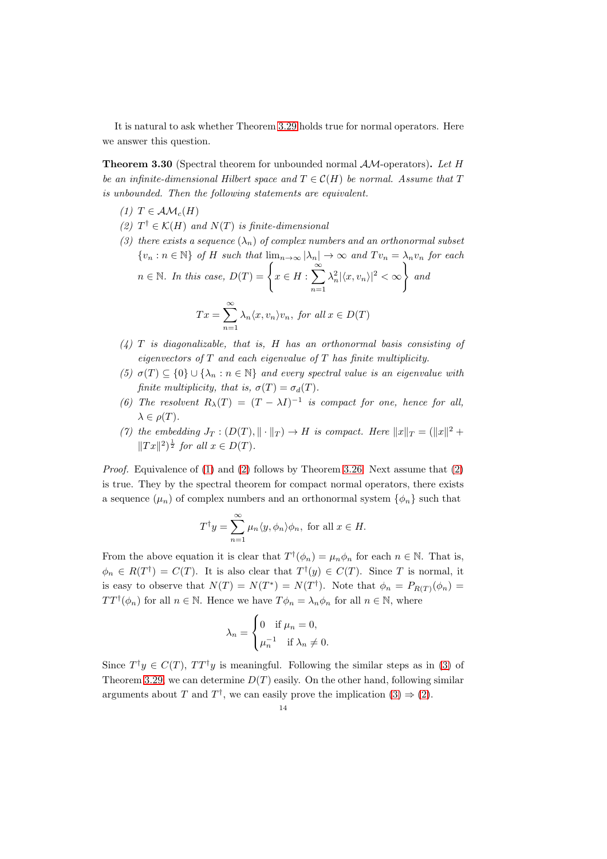It is natural to ask whether Theorem [3.29](#page-11-2) holds true for normal operators. Here we answer this question.

**Theorem 3.30** (Spectral theorem for unbounded normal  $AM$ -operators). Let H be an infinite-dimensional Hilbert space and  $T \in \mathcal{C}(H)$  be normal. Assume that T is unbounded. Then the following statements are equivalent.

- <span id="page-13-1"></span><span id="page-13-0"></span>(1)  $T \in \mathcal{AM}_c(H)$
- <span id="page-13-2"></span>(2)  $T^{\dagger} \in \mathcal{K}(H)$  and  $N(T)$  is finite-dimensional
- (3) there exists a sequence  $(\lambda_n)$  of complex numbers and an orthonormal subset  $\{v_n : n \in \mathbb{N}\}\$  of H such that  $\lim_{n\to\infty} |\lambda_n| \to \infty$  and  $Tv_n = \lambda_n v_n$  for each  $n \in \mathbb{N}$ . In this case,  $D(T) = \left\{x \in H : \sum_{n=1}^{\infty} \mathbb{N} \right\}$  $n=1$  $\lambda_n^2 |\langle x,v_n\rangle|^2 < \infty$ and  $Tx = \sum_{n=1}^{\infty}$  $\sum_{n=1} \lambda_n \langle x, v_n \rangle v_n$ , for all  $x \in D(T)$
- <span id="page-13-4"></span><span id="page-13-3"></span> $(4)$  T is diagonalizable, that is, H has an orthonormal basis consisting of eigenvectors of  $T$  and each eigenvalue of  $T$  has finite multiplicity.
- <span id="page-13-5"></span>(5)  $\sigma(T) \subseteq \{0\} \cup \{\lambda_n : n \in \mathbb{N}\}\$  and every spectral value is an eigenvalue with finite multiplicity, that is,  $\sigma(T) = \sigma_d(T)$ .
- <span id="page-13-6"></span>(6) The resolvent  $R_{\lambda}(T) = (T - \lambda I)^{-1}$  is compact for one, hence for all,  $\lambda \in \rho(T)$ .
- (7) the embedding  $J_T : (D(T), \|\cdot\|_T) \to H$  is compact. Here  $\|x\|_T = (\|x\|^2 +$  $||Tx||^2)^{\frac{1}{2}}$  for all  $x \in D(T)$ .

*Proof.* Equivalence of [\(1\)](#page-13-0) and [\(2\)](#page-13-1) follows by Theorem [3.26.](#page-11-3) Next assume that (2) is true. They by the spectral theorem for compact normal operators, there exists a sequence  $(\mu_n)$  of complex numbers and an orthonormal system  $\{\phi_n\}$  such that

$$
T^{\dagger}y = \sum_{n=1}^{\infty} \mu_n \langle y, \phi_n \rangle \phi_n, \text{ for all } x \in H.
$$

From the above equation it is clear that  $T^{\dagger}(\phi_n) = \mu_n \phi_n$  for each  $n \in \mathbb{N}$ . That is,  $\phi_n \in R(T^{\dagger}) = C(T)$ . It is also clear that  $T^{\dagger}(y) \in C(T)$ . Since T is normal, it is easy to observe that  $N(T) = N(T^*) = N(T^{\dagger})$ . Note that  $\phi_n = P_{R(T)}(\phi_n) =$  $TT^{\dagger}(\phi_n)$  for all  $n \in \mathbb{N}$ . Hence we have  $T\phi_n = \lambda_n \phi_n$  for all  $n \in \mathbb{N}$ , where

$$
\lambda_n = \begin{cases} 0 & \text{if } \mu_n = 0, \\ \mu_n^{-1} & \text{if } \lambda_n \neq 0. \end{cases}
$$

Since  $T^{\dagger}y \in C(T)$ ,  $TT^{\dagger}y$  is meaningful. Following the similar steps as in [\(3\)](#page-12-1) of Theorem [3.29,](#page-11-2) we can determine  $D(T)$  easily. On the other hand, following similar arguments about T and  $T^{\dagger}$ , we can easily prove the implication  $(3) \Rightarrow (2)$  $(3) \Rightarrow (2)$ .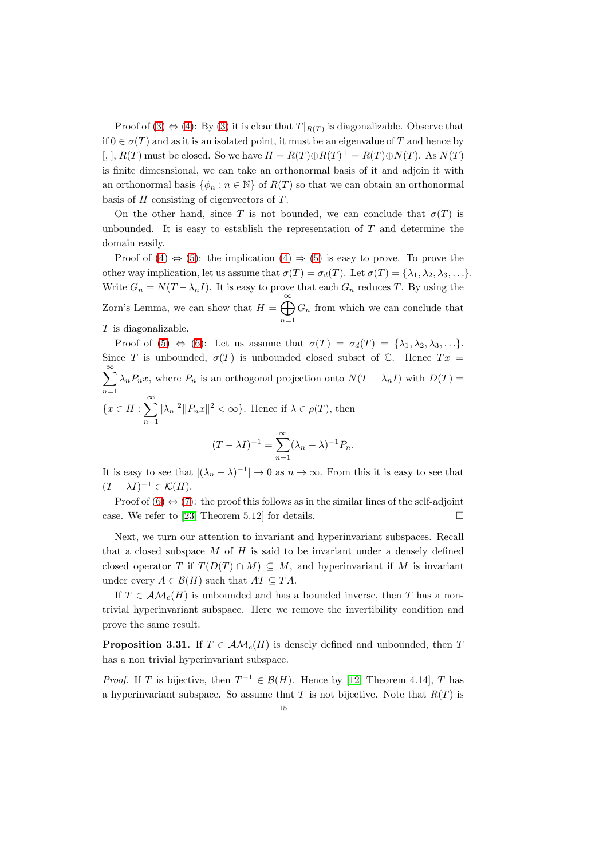Proof of [\(3\)](#page-13-2)  $\Leftrightarrow$  [\(4\)](#page-13-3): By (3) it is clear that  $T|_{R(T)}$  is diagonalizable. Observe that if  $0 \in \sigma(T)$  and as it is an isolated point, it must be an eigenvalue of T and hence by [, ],  $R(T)$  must be closed. So we have  $H = R(T) \oplus R(T)^{\perp} = R(T) \oplus N(T)$ . As  $N(T)$ is finite dimesnsional, we can take an orthonormal basis of it and adjoin it with an orthonormal basis  $\{\phi_n : n \in \mathbb{N}\}\$  of  $R(T)$  so that we can obtain an orthonormal basis of  $H$  consisting of eigenvectors of  $T$ .

On the other hand, since T is not bounded, we can conclude that  $\sigma(T)$  is unbounded. It is easy to establish the representation of  $T$  and determine the domain easily.

Proof of  $(4) \Leftrightarrow (5)$  $(4) \Leftrightarrow (5)$ : the implication  $(4) \Rightarrow (5)$  is easy to prove. To prove the other way implication, let us assume that  $\sigma(T) = \sigma_d(T)$ . Let  $\sigma(T) = {\lambda_1, \lambda_2, \lambda_3, \ldots}$ . Write  $G_n = N(T - \lambda_n I)$ . It is easy to prove that each  $G_n$  reduces T. By using the Zorn's Lemma, we can show that  $H = \bigoplus_{n=1}^{\infty} H_n$  $n=1$  $G_n$  from which we can conclude that  $T$  is diagonalizable.

Proof of [\(5\)](#page-13-4)  $\Leftrightarrow$  [\(6\)](#page-13-5): Let us assume that  $\sigma(T) = \sigma_d(T) = {\lambda_1, \lambda_2, \lambda_3, \ldots}$ . Since T is unbounded,  $\sigma(T)$  is unbounded closed subset of C. Hence  $Tx =$  $\sum^{\infty}$  $\sum_{n=1} \lambda_n P_n x$ , where  $P_n$  is an orthogonal projection onto  $N(T - \lambda_n I)$  with  $D(T) =$  ${x \in H : \sum^{\infty}$  $\sum_{n=1} |\lambda_n|^2 ||P_n x||^2 < \infty$ . Hence if  $\lambda \in \rho(T)$ , then  $(T - \lambda I)^{-1} = \sum^{\infty}$  $\sum_{n=1} (\lambda_n - \lambda)^{-1} P_n.$ 

It is easy to see that  $|(\lambda_n - \lambda)^{-1}| \to 0$  as  $n \to \infty$ . From this it is easy to see that  $(T - \lambda I)^{-1} \in \mathcal{K}(H).$ 

Proof of  $(6) \Leftrightarrow (7)$  $(6) \Leftrightarrow (7)$ : the proof this follows as in the similar lines of the self-adjoint case. We refer to [\[23,](#page-16-3) Theorem 5.12] for details.  $\square$ 

Next, we turn our attention to invariant and hyperinvariant subspaces. Recall that a closed subspace  $M$  of  $H$  is said to be invariant under a densely defined closed operator T if  $T(D(T) \cap M) \subseteq M$ , and hyperinvariant if M is invariant under every  $A \in \mathcal{B}(H)$  such that  $AT \subseteq TA$ .

If  $T \in \mathcal{AM}_c(H)$  is unbounded and has a bounded inverse, then T has a nontrivial hyperinvariant subspace. Here we remove the invertibility condition and prove the same result.

<span id="page-14-0"></span>**Proposition 3.31.** If  $T \in AM<sub>c</sub>(H)$  is densely defined and unbounded, then T has a non trivial hyperinvariant subspace.

*Proof.* If T is bijective, then  $T^{-1} \in \mathcal{B}(H)$ . Hence by [\[12,](#page-15-0) Theorem 4.14], T has a hyperinvariant subspace. So assume that  $T$  is not bijective. Note that  $R(T)$  is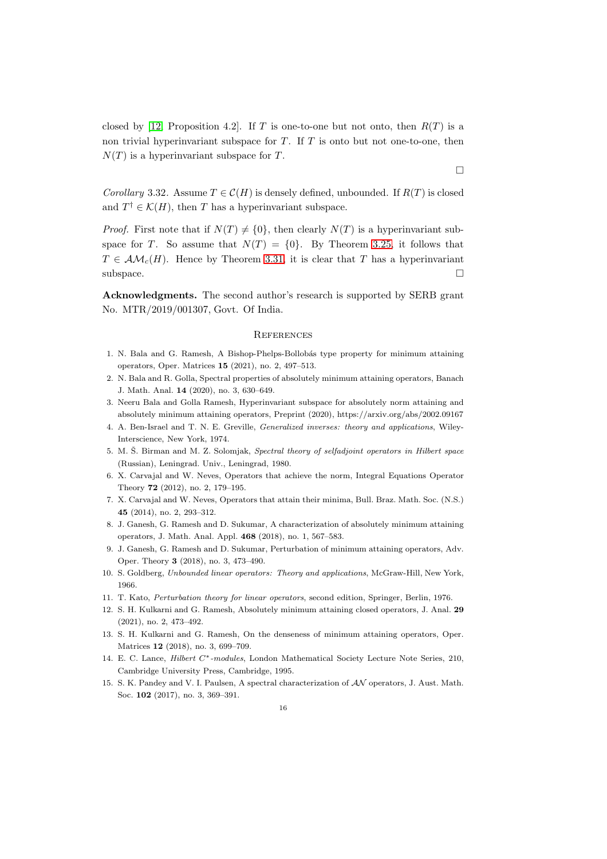closed by [\[12,](#page-15-0) Proposition 4.2]. If T is one-to-one but not onto, then  $R(T)$  is a non trivial hyperinvariant subspace for  $T$ . If  $T$  is onto but not one-to-one, then  $N(T)$  is a hyperinvariant subspace for T.

Corollary 3.32. Assume  $T \in \mathcal{C}(H)$  is densely defined, unbounded. If  $R(T)$  is closed and  $T^{\dagger} \in \mathcal{K}(H)$ , then T has a hyperinvariant subspace.

*Proof.* First note that if  $N(T) \neq \{0\}$ , then clearly  $N(T)$  is a hyperinvariant subspace for T. So assume that  $N(T) = \{0\}$ . By Theorem [3.25,](#page-11-0) it follows that  $T \in \mathcal{AM}_c(H)$ . Hence by Theorem [3.31,](#page-14-0) it is clear that T has a hyperinvariant  $\Box$ subspace.

Acknowledgments. The second author's research is supported by SERB grant No. MTR/2019/001307, Govt. Of India.

#### **REFERENCES**

- <span id="page-15-5"></span><span id="page-15-2"></span>1. N. Bala and G. Ramesh, A Bishop-Phelps-Bollobás type property for minimum attaining operators, Oper. Matrices 15 (2021), no. 2, 497–513.
- <span id="page-15-3"></span>2. N. Bala and R. Golla, Spectral properties of absolutely minimum attaining operators, Banach J. Math. Anal. 14 (2020), no. 3, 630–649.
- <span id="page-15-6"></span>3. Neeru Bala and Golla Ramesh, Hyperinvariant subspace for absolutely norm attaining and absolutely minimum attaining operators, Preprint (2020), https://arxiv.org/abs/2002.09167
- <span id="page-15-8"></span>4. A. Ben-Israel and T. N. E. Greville, *Generalized inverses: theory and applications*, Wiley-Interscience, New York, 1974.
- 5. M. Š. Birman and M. Z. Solomjak, Spectral theory of selfadjoint operators in Hilbert space (Russian), Leningrad. Univ., Leningrad, 1980.
- 6. X. Carvajal and W. Neves, Operators that achieve the norm, Integral Equations Operator Theory 72 (2012), no. 2, 179–195.
- <span id="page-15-1"></span>7. X. Carvajal and W. Neves, Operators that attain their minima, Bull. Braz. Math. Soc. (N.S.) 45 (2014), no. 2, 293–312.
- 8. J. Ganesh, G. Ramesh and D. Sukumar, A characterization of absolutely minimum attaining operators, J. Math. Anal. Appl. 468 (2018), no. 1, 567–583.
- 9. J. Ganesh, G. Ramesh and D. Sukumar, Perturbation of minimum attaining operators, Adv. Oper. Theory 3 (2018), no. 3, 473–490.
- <span id="page-15-7"></span>10. S. Goldberg, *Unbounded linear operators: Theory and applications*, McGraw-Hill, New York, 1966.
- <span id="page-15-0"></span>11. T. Kato, *Perturbation theory for linear operators*, second edition, Springer, Berlin, 1976.
- <span id="page-15-4"></span>12. S. H. Kulkarni and G. Ramesh, Absolutely minimum attaining closed operators, J. Anal. 29 (2021), no. 2, 473–492.
- 13. S. H. Kulkarni and G. Ramesh, On the denseness of minimum attaining operators, Oper. Matrices 12 (2018), no. 3, 699–709.
- 14. E. C. Lance, *Hilbert* C∗*-modules*, London Mathematical Society Lecture Note Series, 210, Cambridge University Press, Cambridge, 1995.
- <span id="page-15-9"></span>15. S. K. Pandey and V. I. Paulsen, A spectral characterization of AN operators, J. Aust. Math. Soc. 102 (2017), no. 3, 369–391.